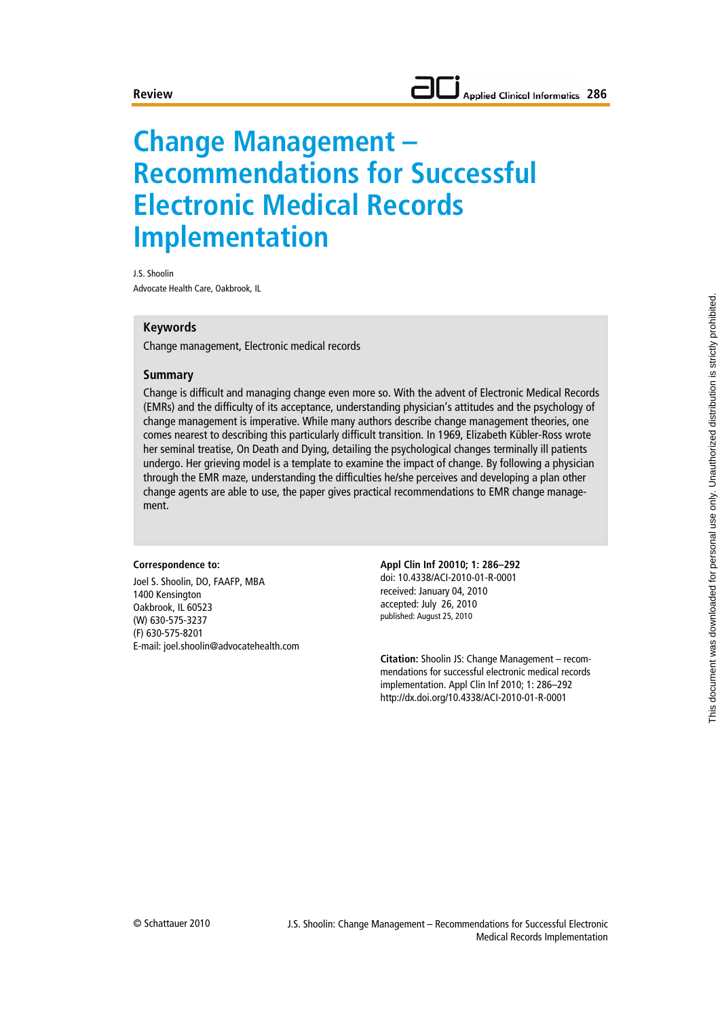# **Change Management – Recommendations for Successful Electronic Medical Records Implementation**

J.S. Shoolin Advocate Health Care, Oakbrook, IL

#### **Keywords**

Change management, Electronic medical records

#### **Summary**

Change is difficult and managing change even more so. With the advent of Electronic Medical Records (EMRs) and the difficulty of its acceptance, understanding physician's attitudes and the psychology of change management is imperative. While many authors describe change management theories, one comes nearest to describing this particularly difficult transition. In 1969, Elizabeth Kübler-Ross wrote her seminal treatise, On Death and Dying, detailing the psychological changes terminally ill patients undergo. Her grieving model is a template to examine the impact of change. By following a physician through the EMR maze, understanding the difficulties he/she perceives and developing a plan other change agents are able to use, the paper gives practical recommendations to EMR change management.

#### **Correspondence to:**

Joel S. Shoolin, DO, FAAFP, MBA 1400 Kensington Oakbrook, IL 60523 (W) 630-575-3237 (F) 630-575-8201 E-mail: joel.shoolin@advocatehealth.com **Appl Clin Inf 20010; 1: 286–292** doi: 10.4338/ACI-2010-01-R-0001 received: January 04, 2010 accepted: July 26, 2010 published: August 25, 2010

**Citation:** Shoolin JS: Change Management – recommendations for successful electronic medical records implementation. Appl Clin Inf 2010; 1: 286–292 http://dx.doi.org/10.4338/ACI-2010-01-R-0001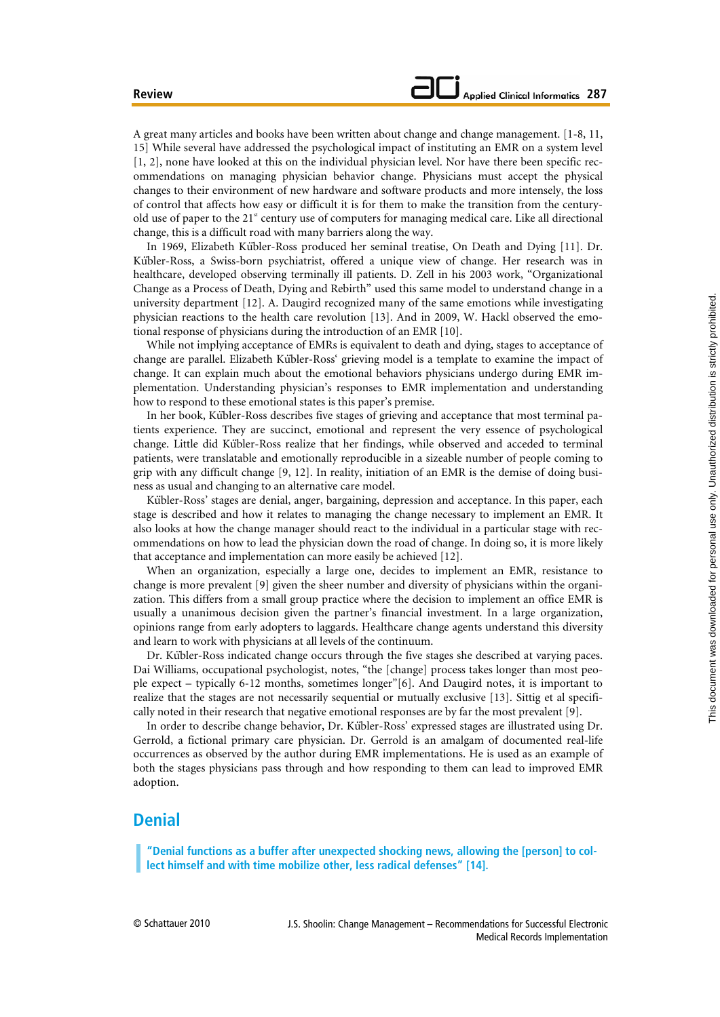A great many articles and books have been written about change and change management. [1-8, 11, 15] While several have addressed the psychological impact of instituting an EMR on a system level [1, 2], none have looked at this on the individual physician level. Nor have there been specific recommendations on managing physician behavior change. Physicians must accept the physical changes to their environment of new hardware and software products and more intensely, the loss of control that affects how easy or difficult it is for them to make the transition from the centuryold use of paper to the  $21<sup>st</sup>$  century use of computers for managing medical care. Like all directional change, this is a difficult road with many barriers along the way.

In 1969, Elizabeth Kübler-Ross produced her seminal treatise, On Death and Dying [11]. Dr. Kübler-Ross, a Swiss-born psychiatrist, offered a unique view of change. Her research was in healthcare, developed observing terminally ill patients. D. Zell in his 2003 work, "Organizational Change as a Process of Death, Dying and Rebirth" used this same model to understand change in a university department [12]. A. Daugird recognized many of the same emotions while investigating physician reactions to the health care revolution [13]. And in 2009, W. Hackl observed the emotional response of physicians during the introduction of an EMR [10].

While not implying acceptance of EMRs is equivalent to death and dying, stages to acceptance of change are parallel. Elizabeth Kübler-Ross' grieving model is a template to examine the impact of change. It can explain much about the emotional behaviors physicians undergo during EMR implementation. Understanding physician's responses to EMR implementation and understanding how to respond to these emotional states is this paper's premise.

In her book, Kubler-Ross describes five stages of grieving and acceptance that most terminal patients experience. They are succinct, emotional and represent the very essence of psychological change. Little did Kübler-Ross realize that her findings, while observed and acceded to terminal patients, were translatable and emotionally reproducible in a sizeable number of people coming to grip with any difficult change [9, 12]. In reality, initiation of an EMR is the demise of doing business as usual and changing to an alternative care model.

Kübler-Ross' stages are denial, anger, bargaining, depression and acceptance. In this paper, each stage is described and how it relates to managing the change necessary to implement an EMR. It also looks at how the change manager should react to the individual in a particular stage with recommendations on how to lead the physician down the road of change. In doing so, it is more likely that acceptance and implementation can more easily be achieved [12].

When an organization, especially a large one, decides to implement an EMR, resistance to change is more prevalent [9] given the sheer number and diversity of physicians within the organization. This differs from a small group practice where the decision to implement an office EMR is usually a unanimous decision given the partner's financial investment. In a large organization, opinions range from early adopters to laggards. Healthcare change agents understand this diversity and learn to work with physicians at all levels of the continuum.

Dr. Kübler-Ross indicated change occurs through the five stages she described at varying paces. Dai Williams, occupational psychologist, notes, "the [change] process takes longer than most people expect – typically 6-12 months, sometimes longer"[6]. And Daugird notes, it is important to realize that the stages are not necessarily sequential or mutually exclusive [13]. Sittig et al specifically noted in their research that negative emotional responses are by far the most prevalent [9].

In order to describe change behavior, Dr. Kübler-Ross' expressed stages are illustrated using Dr. Gerrold, a fictional primary care physician. Dr. Gerrold is an amalgam of documented real-life occurrences as observed by the author during EMR implementations. He is used as an example of both the stages physicians pass through and how responding to them can lead to improved EMR adoption.

### **Denial**

**"Denial functions as a buffer after unexpected shocking news, allowing the [person] to collect himself and with time mobilize other, less radical defenses" [14].**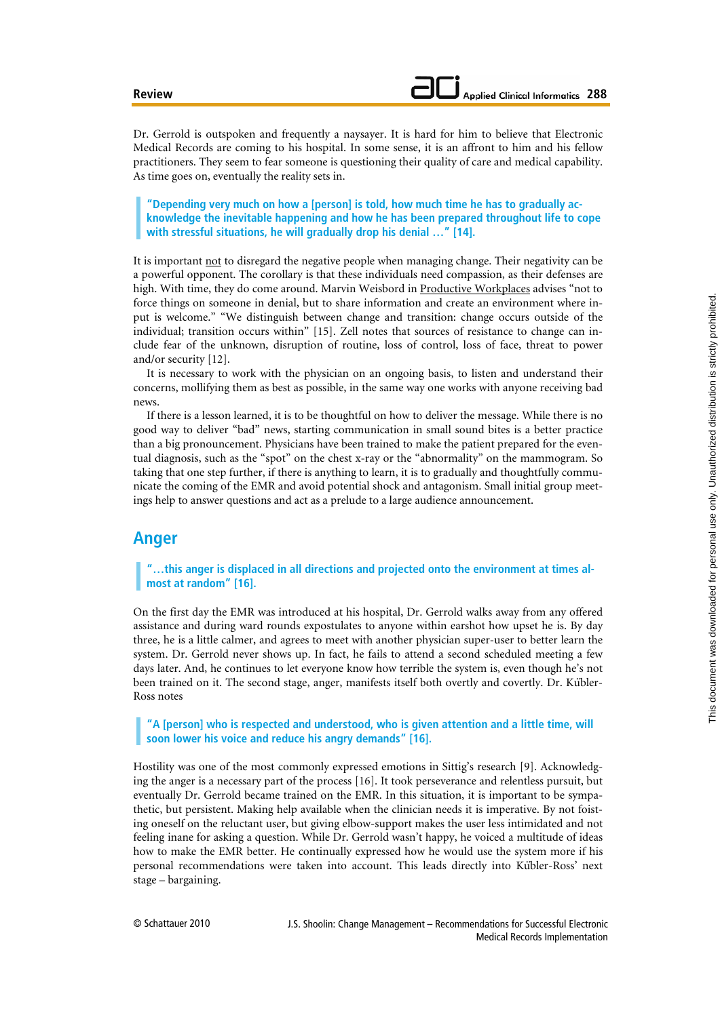Dr. Gerrold is outspoken and frequently a naysayer. It is hard for him to believe that Electronic Medical Records are coming to his hospital. In some sense, it is an affront to him and his fellow practitioners. They seem to fear someone is questioning their quality of care and medical capability. As time goes on, eventually the reality sets in.

**"Depending very much on how a [person] is told, how much time he has to gradually acknowledge the inevitable happening and how he has been prepared throughout life to cope with stressful situations, he will gradually drop his denial …" [14].** 

It is important not to disregard the negative people when managing change. Their negativity can be a powerful opponent. The corollary is that these individuals need compassion, as their defenses are high. With time, they do come around. Marvin Weisbord in Productive Workplaces advises "not to force things on someone in denial, but to share information and create an environment where input is welcome." "We distinguish between change and transition: change occurs outside of the individual; transition occurs within" [15]. Zell notes that sources of resistance to change can include fear of the unknown, disruption of routine, loss of control, loss of face, threat to power and/or security [12].

It is necessary to work with the physician on an ongoing basis, to listen and understand their concerns, mollifying them as best as possible, in the same way one works with anyone receiving bad news.

If there is a lesson learned, it is to be thoughtful on how to deliver the message. While there is no good way to deliver "bad" news, starting communication in small sound bites is a better practice than a big pronouncement. Physicians have been trained to make the patient prepared for the eventual diagnosis, such as the "spot" on the chest x-ray or the "abnormality" on the mammogram. So taking that one step further, if there is anything to learn, it is to gradually and thoughtfully communicate the coming of the EMR and avoid potential shock and antagonism. Small initial group meetings help to answer questions and act as a prelude to a large audience announcement.

### **Anger**

**"…this anger is displaced in all directions and projected onto the environment at times almost at random" [16].** 

On the first day the EMR was introduced at his hospital, Dr. Gerrold walks away from any offered assistance and during ward rounds expostulates to anyone within earshot how upset he is. By day three, he is a little calmer, and agrees to meet with another physician super-user to better learn the system. Dr. Gerrold never shows up. In fact, he fails to attend a second scheduled meeting a few days later. And, he continues to let everyone know how terrible the system is, even though he's not been trained on it. The second stage, anger, manifests itself both overtly and covertly. Dr. Kübler-Ross notes

**"A [person] who is respected and understood, who is given attention and a little time, will soon lower his voice and reduce his angry demands" [16].** 

Hostility was one of the most commonly expressed emotions in Sittig's research [9]. Acknowledging the anger is a necessary part of the process [16]. It took perseverance and relentless pursuit, but eventually Dr. Gerrold became trained on the EMR. In this situation, it is important to be sympathetic, but persistent. Making help available when the clinician needs it is imperative. By not foisting oneself on the reluctant user, but giving elbow-support makes the user less intimidated and not feeling inane for asking a question. While Dr. Gerrold wasn't happy, he voiced a multitude of ideas how to make the EMR better. He continually expressed how he would use the system more if his personal recommendations were taken into account. This leads directly into Kübler-Ross' next stage – bargaining.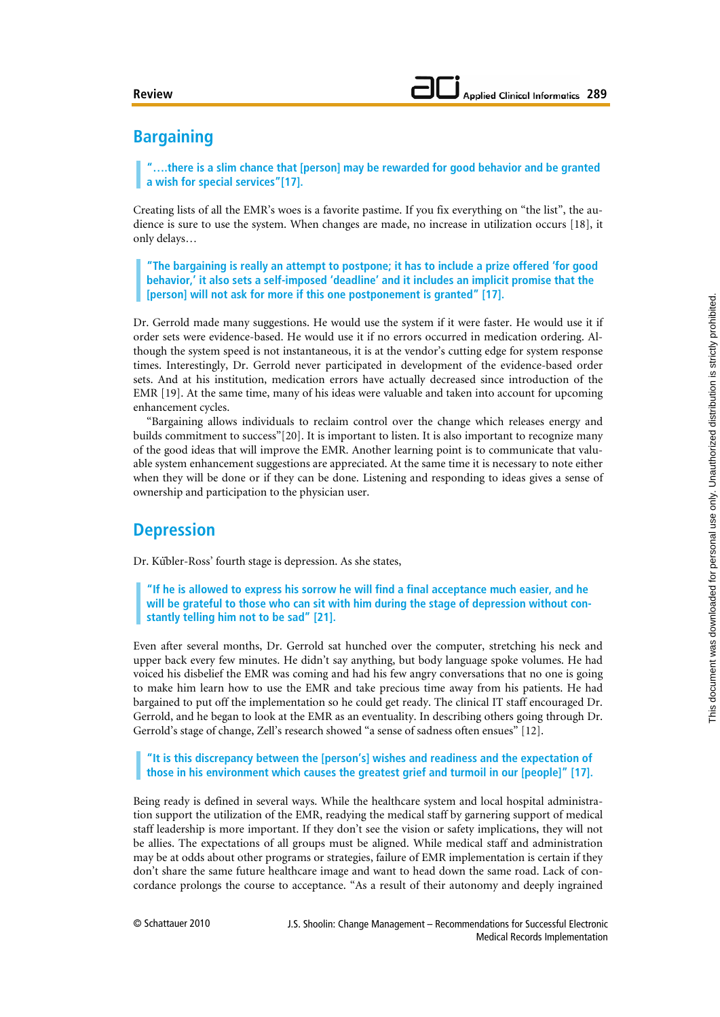### **Bargaining**

**"….there is a slim chance that [person] may be rewarded for good behavior and be granted a wish for special services"[17].** 

Creating lists of all the EMR's woes is a favorite pastime. If you fix everything on "the list", the audience is sure to use the system. When changes are made, no increase in utilization occurs [18], it only delays…

**"The bargaining is really an attempt to postpone; it has to include a prize offered 'for good behavior,' it also sets a self-imposed 'deadline' and it includes an implicit promise that the [person] will not ask for more if this one postponement is granted" [17].** 

Dr. Gerrold made many suggestions. He would use the system if it were faster. He would use it if order sets were evidence-based. He would use it if no errors occurred in medication ordering. Although the system speed is not instantaneous, it is at the vendor's cutting edge for system response times. Interestingly, Dr. Gerrold never participated in development of the evidence-based order sets. And at his institution, medication errors have actually decreased since introduction of the EMR [19]. At the same time, many of his ideas were valuable and taken into account for upcoming enhancement cycles.

"Bargaining allows individuals to reclaim control over the change which releases energy and builds commitment to success"[20]. It is important to listen. It is also important to recognize many of the good ideas that will improve the EMR. Another learning point is to communicate that valuable system enhancement suggestions are appreciated. At the same time it is necessary to note either when they will be done or if they can be done. Listening and responding to ideas gives a sense of ownership and participation to the physician user.

### **Depression**

Dr. Kübler-Ross' fourth stage is depression. As she states,

**"If he is allowed to express his sorrow he will find a final acceptance much easier, and he will be grateful to those who can sit with him during the stage of depression without constantly telling him not to be sad" [21].** 

Even after several months, Dr. Gerrold sat hunched over the computer, stretching his neck and upper back every few minutes. He didn't say anything, but body language spoke volumes. He had voiced his disbelief the EMR was coming and had his few angry conversations that no one is going to make him learn how to use the EMR and take precious time away from his patients. He had bargained to put off the implementation so he could get ready. The clinical IT staff encouraged Dr. Gerrold, and he began to look at the EMR as an eventuality. In describing others going through Dr. Gerrold's stage of change, Zell's research showed "a sense of sadness often ensues" [12].

**"It is this discrepancy between the [person's] wishes and readiness and the expectation of those in his environment which causes the greatest grief and turmoil in our [people]" [17].** 

Being ready is defined in several ways. While the healthcare system and local hospital administration support the utilization of the EMR, readying the medical staff by garnering support of medical staff leadership is more important. If they don't see the vision or safety implications, they will not be allies. The expectations of all groups must be aligned. While medical staff and administration may be at odds about other programs or strategies, failure of EMR implementation is certain if they don't share the same future healthcare image and want to head down the same road. Lack of concordance prolongs the course to acceptance. "As a result of their autonomy and deeply ingrained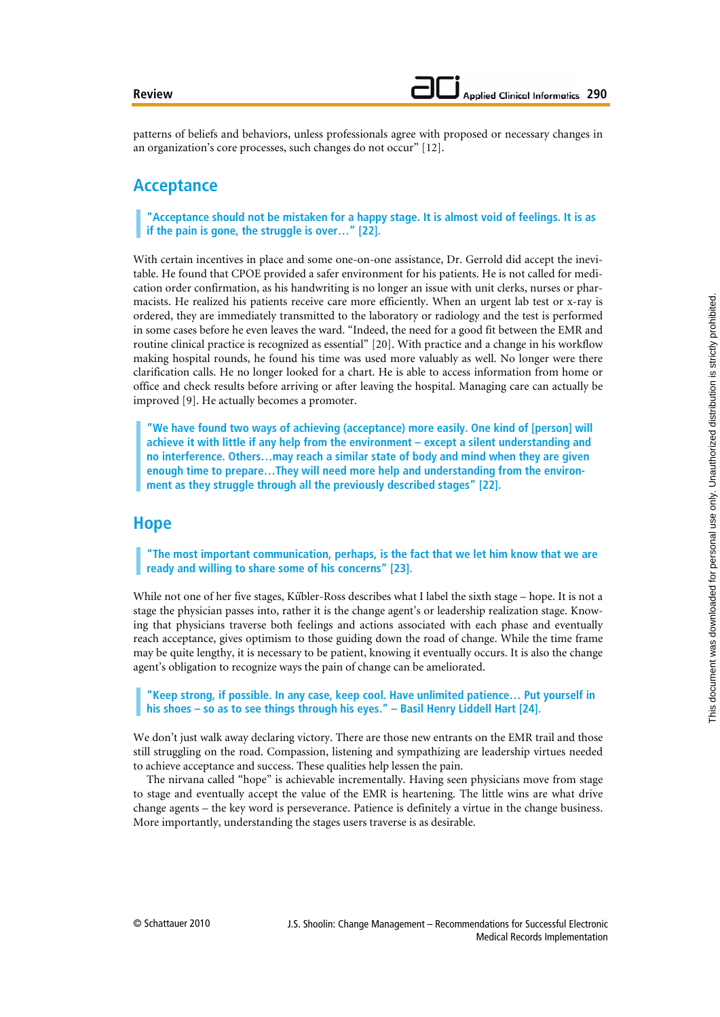#### **Review**

patterns of beliefs and behaviors, unless professionals agree with proposed or necessary changes in an organization's core processes, such changes do not occur" [12].

### **Acceptance**

**"Acceptance should not be mistaken for a happy stage. It is almost void of feelings. It is as if the pain is gone, the struggle is over…" [22].** 

With certain incentives in place and some one-on-one assistance, Dr. Gerrold did accept the inevitable. He found that CPOE provided a safer environment for his patients. He is not called for medication order confirmation, as his handwriting is no longer an issue with unit clerks, nurses or pharmacists. He realized his patients receive care more efficiently. When an urgent lab test or x-ray is ordered, they are immediately transmitted to the laboratory or radiology and the test is performed in some cases before he even leaves the ward. "Indeed, the need for a good fit between the EMR and routine clinical practice is recognized as essential" [20]. With practice and a change in his workflow making hospital rounds, he found his time was used more valuably as well. No longer were there clarification calls. He no longer looked for a chart. He is able to access information from home or office and check results before arriving or after leaving the hospital. Managing care can actually be improved [9]. He actually becomes a promoter.

**"We have found two ways of achieving (acceptance) more easily. One kind of [person] will achieve it with little if any help from the environment – except a silent understanding and no interference. Others…may reach a similar state of body and mind when they are given enough time to prepare…They will need more help and understanding from the environment as they struggle through all the previously described stages" [22].** 

### **Hope**

**"The most important communication, perhaps, is the fact that we let him know that we are ready and willing to share some of his concerns" [23].** 

While not one of her five stages, Kübler-Ross describes what I label the sixth stage – hope. It is not a stage the physician passes into, rather it is the change agent's or leadership realization stage. Knowing that physicians traverse both feelings and actions associated with each phase and eventually reach acceptance, gives optimism to those guiding down the road of change. While the time frame may be quite lengthy, it is necessary to be patient, knowing it eventually occurs. It is also the change agent's obligation to recognize ways the pain of change can be ameliorated.

**"Keep strong, if possible. In any case, keep cool. Have unlimited patience… Put yourself in his shoes – so as to see things through his eyes." – Basil Henry Liddell Hart [24].** 

We don't just walk away declaring victory. There are those new entrants on the EMR trail and those still struggling on the road. Compassion, listening and sympathizing are leadership virtues needed to achieve acceptance and success. These qualities help lessen the pain.

The nirvana called "hope" is achievable incrementally. Having seen physicians move from stage to stage and eventually accept the value of the EMR is heartening. The little wins are what drive change agents – the key word is perseverance. Patience is definitely a virtue in the change business. More importantly, understanding the stages users traverse is as desirable.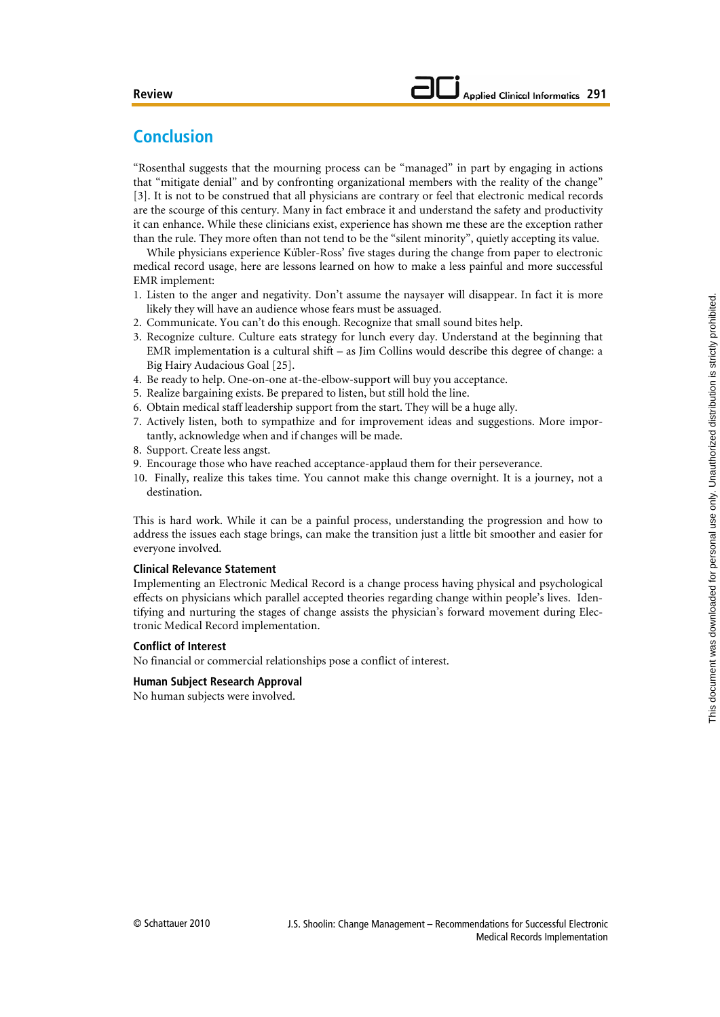# **Conclusion**

"Rosenthal suggests that the mourning process can be "managed" in part by engaging in actions that "mitigate denial" and by confronting organizational members with the reality of the change" [3]. It is not to be construed that all physicians are contrary or feel that electronic medical records are the scourge of this century. Many in fact embrace it and understand the safety and productivity it can enhance. While these clinicians exist, experience has shown me these are the exception rather than the rule. They more often than not tend to be the "silent minority", quietly accepting its value.

While physicians experience Kübler-Ross' five stages during the change from paper to electronic medical record usage, here are lessons learned on how to make a less painful and more successful EMR implement:

- 1. Listen to the anger and negativity. Don't assume the naysayer will disappear. In fact it is more likely they will have an audience whose fears must be assuaged.
- 2. Communicate. You can't do this enough. Recognize that small sound bites help.
- 3. Recognize culture. Culture eats strategy for lunch every day. Understand at the beginning that EMR implementation is a cultural shift – as Jim Collins would describe this degree of change: a Big Hairy Audacious Goal [25].
- 4. Be ready to help. One-on-one at-the-elbow-support will buy you acceptance.
- 5. Realize bargaining exists. Be prepared to listen, but still hold the line.
- 6. Obtain medical staff leadership support from the start. They will be a huge ally.
- 7. Actively listen, both to sympathize and for improvement ideas and suggestions. More importantly, acknowledge when and if changes will be made.
- 8. Support. Create less angst.
- 9. Encourage those who have reached acceptance-applaud them for their perseverance.
- 10. Finally, realize this takes time. You cannot make this change overnight. It is a journey, not a destination.

This is hard work. While it can be a painful process, understanding the progression and how to address the issues each stage brings, can make the transition just a little bit smoother and easier for everyone involved.

#### **Clinical Relevance Statement**

Implementing an Electronic Medical Record is a change process having physical and psychological effects on physicians which parallel accepted theories regarding change within people's lives. Identifying and nurturing the stages of change assists the physician's forward movement during Electronic Medical Record implementation.

#### **Conflict of Interest**

No financial or commercial relationships pose a conflict of interest.

#### **Human Subject Research Approval**

No human subjects were involved.